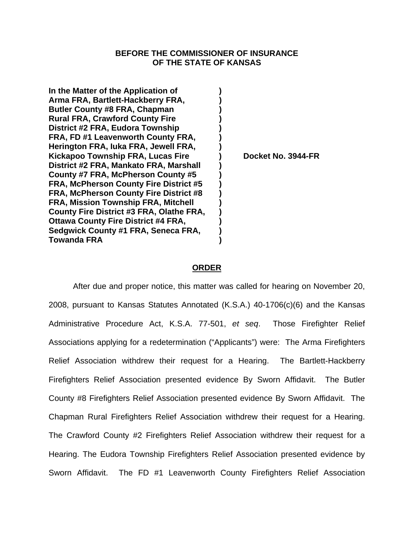## **BEFORE THE COMMISSIONER OF INSURANCE OF THE STATE OF KANSAS**

**In the Matter of the Application of ) Arma FRA, Bartlett-Hackberry FRA, ) Butler County #8 FRA, Chapman ) Rural FRA, Crawford County Fire ) District #2 FRA, Eudora Township ) FRA, FD #1 Leavenworth County FRA, ) Herington FRA, Iuka FRA, Jewell FRA, )**  Kickapoo Township FRA, Lucas Fire (a) Docket No. 3944-FR **District #2 FRA, Mankato FRA, Marshall ) County #7 FRA, McPherson County #5 ) FRA, McPherson County Fire District #5 ) FRA, McPherson County Fire District #8 ) FRA, Mission Township FRA, Mitchell ) County Fire District #3 FRA, Olathe FRA, ) Ottawa County Fire District #4 FRA,** Sedgwick County #1 FRA, Seneca FRA, <sup>1</sup> **Towanda FRA )** 

## **ORDER**

After due and proper notice, this matter was called for hearing on November 20, 2008, pursuant to Kansas Statutes Annotated (K.S.A.) 40-1706(c)(6) and the Kansas Administrative Procedure Act, K.S.A. 77-501, *et seq*.Those Firefighter Relief Associations applying for a redetermination ("Applicants") were: The Arma Firefighters Relief Association withdrew their request for a Hearing. The Bartlett-Hackberry Firefighters Relief Association presented evidence By Sworn Affidavit. The Butler County #8 Firefighters Relief Association presented evidence By Sworn Affidavit. The Chapman Rural Firefighters Relief Association withdrew their request for a Hearing. The Crawford County #2 Firefighters Relief Association withdrew their request for a Hearing. The Eudora Township Firefighters Relief Association presented evidence by Sworn Affidavit. The FD #1 Leavenworth County Firefighters Relief Association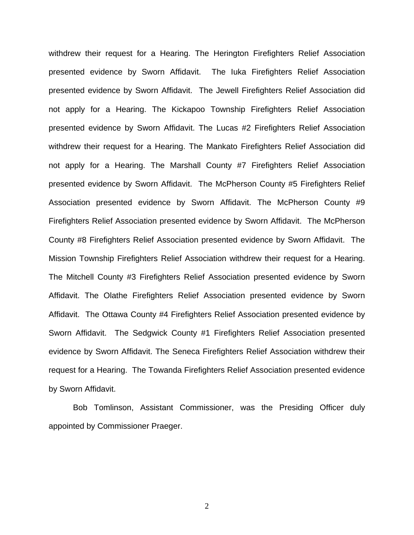withdrew their request for a Hearing. The Herington Firefighters Relief Association presented evidence by Sworn Affidavit. The Iuka Firefighters Relief Association presented evidence by Sworn Affidavit. The Jewell Firefighters Relief Association did not apply for a Hearing. The Kickapoo Township Firefighters Relief Association presented evidence by Sworn Affidavit. The Lucas #2 Firefighters Relief Association withdrew their request for a Hearing. The Mankato Firefighters Relief Association did not apply for a Hearing. The Marshall County #7 Firefighters Relief Association presented evidence by Sworn Affidavit. The McPherson County #5 Firefighters Relief Association presented evidence by Sworn Affidavit. The McPherson County #9 Firefighters Relief Association presented evidence by Sworn Affidavit. The McPherson County #8 Firefighters Relief Association presented evidence by Sworn Affidavit. The Mission Township Firefighters Relief Association withdrew their request for a Hearing. The Mitchell County #3 Firefighters Relief Association presented evidence by Sworn Affidavit. The Olathe Firefighters Relief Association presented evidence by Sworn Affidavit. The Ottawa County #4 Firefighters Relief Association presented evidence by Sworn Affidavit. The Sedgwick County #1 Firefighters Relief Association presented evidence by Sworn Affidavit. The Seneca Firefighters Relief Association withdrew their request for a Hearing. The Towanda Firefighters Relief Association presented evidence by Sworn Affidavit.

 Bob Tomlinson, Assistant Commissioner, was the Presiding Officer duly appointed by Commissioner Praeger.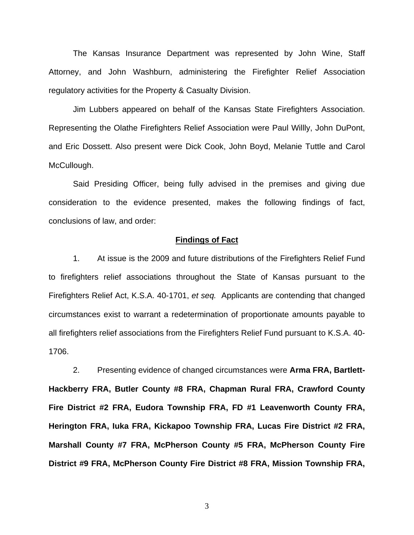The Kansas Insurance Department was represented by John Wine, Staff Attorney, and John Washburn, administering the Firefighter Relief Association regulatory activities for the Property & Casualty Division.

 Jim Lubbers appeared on behalf of the Kansas State Firefighters Association. Representing the Olathe Firefighters Relief Association were Paul Willly, John DuPont, and Eric Dossett. Also present were Dick Cook, John Boyd, Melanie Tuttle and Carol McCullough.

 Said Presiding Officer, being fully advised in the premises and giving due consideration to the evidence presented, makes the following findings of fact, conclusions of law, and order:

#### **Findings of Fact**

1. At issue is the 2009 and future distributions of the Firefighters Relief Fund to firefighters relief associations throughout the State of Kansas pursuant to the Firefighters Relief Act, K.S.A. 40-1701, *et seq.* Applicants are contending that changed circumstances exist to warrant a redetermination of proportionate amounts payable to all firefighters relief associations from the Firefighters Relief Fund pursuant to K.S.A. 40- 1706.

2. Presenting evidence of changed circumstances were **Arma FRA, Bartlett-Hackberry FRA, Butler County #8 FRA, Chapman Rural FRA, Crawford County Fire District #2 FRA, Eudora Township FRA, FD #1 Leavenworth County FRA, Herington FRA, Iuka FRA, Kickapoo Township FRA, Lucas Fire District #2 FRA, Marshall County #7 FRA, McPherson County #5 FRA, McPherson County Fire District #9 FRA, McPherson County Fire District #8 FRA, Mission Township FRA,**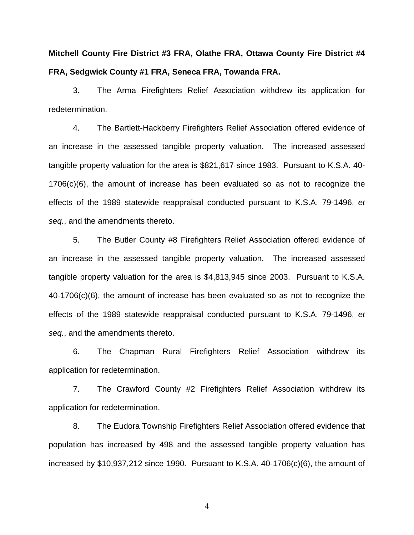**Mitchell County Fire District #3 FRA, Olathe FRA, Ottawa County Fire District #4 FRA, Sedgwick County #1 FRA, Seneca FRA, Towanda FRA.** 

3. The Arma Firefighters Relief Association withdrew its application for redetermination.

 4. The Bartlett-Hackberry Firefighters Relief Association offered evidence of an increase in the assessed tangible property valuation. The increased assessed tangible property valuation for the area is \$821,617 since 1983. Pursuant to K.S.A. 40- 1706(c)(6), the amount of increase has been evaluated so as not to recognize the effects of the 1989 statewide reappraisal conducted pursuant to K.S.A. 79-1496, *et seq.*, and the amendments thereto.

5. The Butler County #8 Firefighters Relief Association offered evidence of an increase in the assessed tangible property valuation. The increased assessed tangible property valuation for the area is \$4,813,945 since 2003. Pursuant to K.S.A. 40-1706(c)(6), the amount of increase has been evaluated so as not to recognize the effects of the 1989 statewide reappraisal conducted pursuant to K.S.A. 79-1496, *et seq.*, and the amendments thereto.

 6. The Chapman Rural Firefighters Relief Association withdrew its application for redetermination.

 7. The Crawford County #2 Firefighters Relief Association withdrew its application for redetermination.

 8. The Eudora Township Firefighters Relief Association offered evidence that population has increased by 498 and the assessed tangible property valuation has increased by \$10,937,212 since 1990. Pursuant to K.S.A. 40-1706(c)(6), the amount of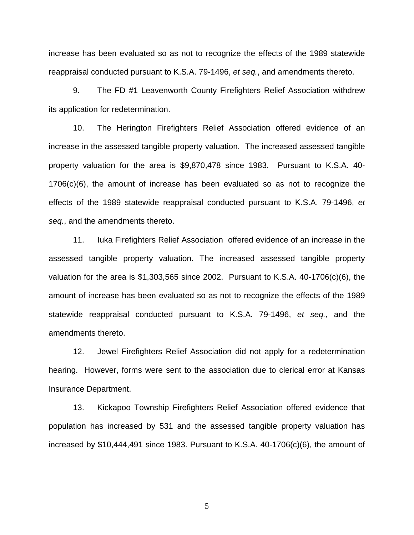increase has been evaluated so as not to recognize the effects of the 1989 statewide reappraisal conducted pursuant to K.S.A. 79-1496, *et seq.*, and amendments thereto.

 9. The FD #1 Leavenworth County Firefighters Relief Association withdrew its application for redetermination.

 10. The Herington Firefighters Relief Association offered evidence of an increase in the assessed tangible property valuation. The increased assessed tangible property valuation for the area is \$9,870,478 since 1983. Pursuant to K.S.A. 40- 1706(c)(6), the amount of increase has been evaluated so as not to recognize the effects of the 1989 statewide reappraisal conducted pursuant to K.S.A. 79-1496, *et seq.*, and the amendments thereto.

 11. Iuka Firefighters Relief Association offered evidence of an increase in the assessed tangible property valuation. The increased assessed tangible property valuation for the area is \$1,303,565 since 2002. Pursuant to K.S.A. 40-1706(c)(6), the amount of increase has been evaluated so as not to recognize the effects of the 1989 statewide reappraisal conducted pursuant to K.S.A. 79-1496, *et seq.*, and the amendments thereto.

 12. Jewel Firefighters Relief Association did not apply for a redetermination hearing. However, forms were sent to the association due to clerical error at Kansas Insurance Department.

13. Kickapoo Township Firefighters Relief Association offered evidence that population has increased by 531 and the assessed tangible property valuation has increased by \$10,444,491 since 1983. Pursuant to K.S.A. 40-1706(c)(6), the amount of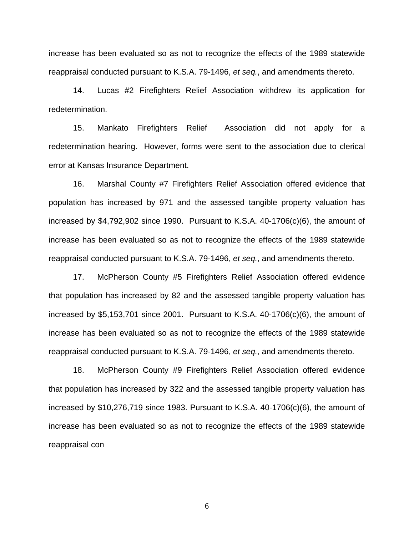increase has been evaluated so as not to recognize the effects of the 1989 statewide reappraisal conducted pursuant to K.S.A. 79-1496, *et seq.*, and amendments thereto.

14. Lucas #2 Firefighters Relief Association withdrew its application for redetermination.

 15. Mankato Firefighters Relief Association did not apply for a redetermination hearing. However, forms were sent to the association due to clerical error at Kansas Insurance Department.

 16. Marshal County #7 Firefighters Relief Association offered evidence that population has increased by 971 and the assessed tangible property valuation has increased by \$4,792,902 since 1990. Pursuant to K.S.A. 40-1706(c)(6), the amount of increase has been evaluated so as not to recognize the effects of the 1989 statewide reappraisal conducted pursuant to K.S.A. 79-1496, *et seq.*, and amendments thereto.

 17. McPherson County #5 Firefighters Relief Association offered evidence that population has increased by 82 and the assessed tangible property valuation has increased by \$5,153,701 since 2001. Pursuant to K.S.A. 40-1706(c)(6), the amount of increase has been evaluated so as not to recognize the effects of the 1989 statewide reappraisal conducted pursuant to K.S.A. 79-1496, *et seq.*, and amendments thereto.

18. McPherson County #9 Firefighters Relief Association offered evidence that population has increased by 322 and the assessed tangible property valuation has increased by \$10,276,719 since 1983. Pursuant to K.S.A. 40-1706(c)(6), the amount of increase has been evaluated so as not to recognize the effects of the 1989 statewide reappraisal con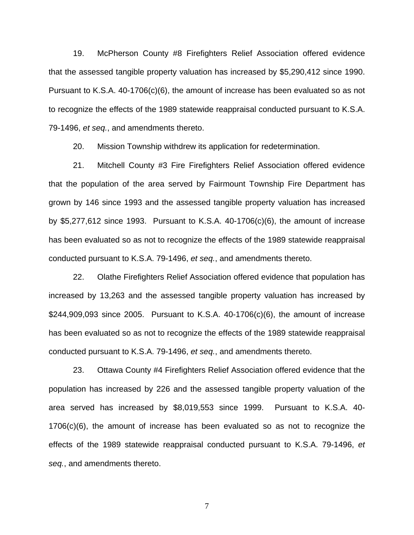19. McPherson County #8 Firefighters Relief Association offered evidence that the assessed tangible property valuation has increased by \$5,290,412 since 1990. Pursuant to K.S.A. 40-1706(c)(6), the amount of increase has been evaluated so as not to recognize the effects of the 1989 statewide reappraisal conducted pursuant to K.S.A. 79-1496, *et seq.*, and amendments thereto.

20. Mission Township withdrew its application for redetermination.

21. Mitchell County #3 Fire Firefighters Relief Association offered evidence that the population of the area served by Fairmount Township Fire Department has grown by 146 since 1993 and the assessed tangible property valuation has increased by \$5,277,612 since 1993. Pursuant to K.S.A. 40-1706(c)(6), the amount of increase has been evaluated so as not to recognize the effects of the 1989 statewide reappraisal conducted pursuant to K.S.A. 79-1496, *et seq.*, and amendments thereto.

 22. Olathe Firefighters Relief Association offered evidence that population has increased by 13,263 and the assessed tangible property valuation has increased by \$244,909,093 since 2005. Pursuant to K.S.A. 40-1706(c)(6), the amount of increase has been evaluated so as not to recognize the effects of the 1989 statewide reappraisal conducted pursuant to K.S.A. 79-1496, *et seq.*, and amendments thereto.

 23. Ottawa County #4 Firefighters Relief Association offered evidence that the population has increased by 226 and the assessed tangible property valuation of the area served has increased by \$8,019,553 since 1999. Pursuant to K.S.A. 40- 1706(c)(6), the amount of increase has been evaluated so as not to recognize the effects of the 1989 statewide reappraisal conducted pursuant to K.S.A. 79-1496, *et seq.*, and amendments thereto.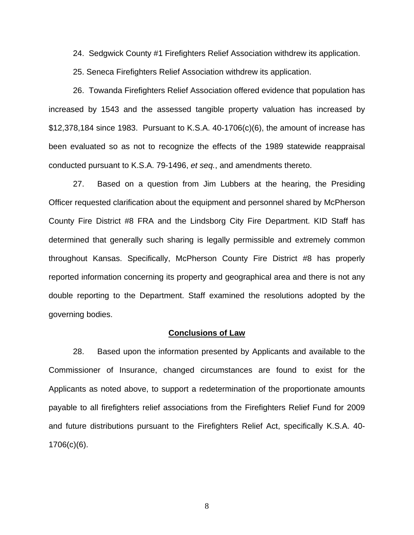24. Sedgwick County #1 Firefighters Relief Association withdrew its application.

25. Seneca Firefighters Relief Association withdrew its application.

 26. Towanda Firefighters Relief Association offered evidence that population has increased by 1543 and the assessed tangible property valuation has increased by \$12,378,184 since 1983. Pursuant to K.S.A. 40-1706(c)(6), the amount of increase has been evaluated so as not to recognize the effects of the 1989 statewide reappraisal conducted pursuant to K.S.A. 79-1496, *et seq.*, and amendments thereto.

27. Based on a question from Jim Lubbers at the hearing, the Presiding Officer requested clarification about the equipment and personnel shared by McPherson County Fire District #8 FRA and the Lindsborg City Fire Department. KID Staff has determined that generally such sharing is legally permissible and extremely common throughout Kansas. Specifically, McPherson County Fire District #8 has properly reported information concerning its property and geographical area and there is not any double reporting to the Department. Staff examined the resolutions adopted by the governing bodies.

### **Conclusions of Law**

28. Based upon the information presented by Applicants and available to the Commissioner of Insurance, changed circumstances are found to exist for the Applicants as noted above, to support a redetermination of the proportionate amounts payable to all firefighters relief associations from the Firefighters Relief Fund for 2009 and future distributions pursuant to the Firefighters Relief Act, specifically K.S.A. 40- 1706(c)(6).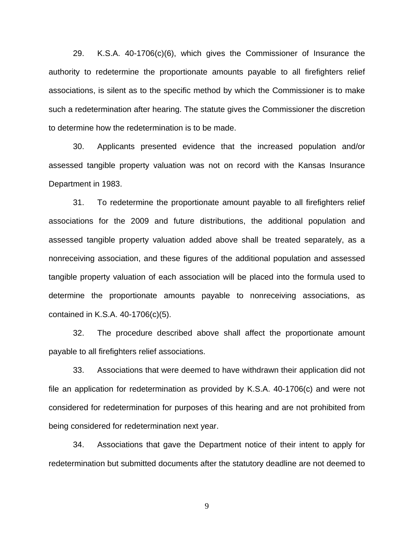29. K.S.A. 40-1706(c)(6), which gives the Commissioner of Insurance the authority to redetermine the proportionate amounts payable to all firefighters relief associations, is silent as to the specific method by which the Commissioner is to make such a redetermination after hearing. The statute gives the Commissioner the discretion to determine how the redetermination is to be made.

 30. Applicants presented evidence that the increased population and/or assessed tangible property valuation was not on record with the Kansas Insurance Department in 1983.

31. To redetermine the proportionate amount payable to all firefighters relief associations for the 2009 and future distributions, the additional population and assessed tangible property valuation added above shall be treated separately, as a nonreceiving association, and these figures of the additional population and assessed tangible property valuation of each association will be placed into the formula used to determine the proportionate amounts payable to nonreceiving associations, as contained in K.S.A. 40-1706(c)(5).

32. The procedure described above shall affect the proportionate amount payable to all firefighters relief associations.

33. Associations that were deemed to have withdrawn their application did not file an application for redetermination as provided by K.S.A. 40-1706(c) and were not considered for redetermination for purposes of this hearing and are not prohibited from being considered for redetermination next year.

34. Associations that gave the Department notice of their intent to apply for redetermination but submitted documents after the statutory deadline are not deemed to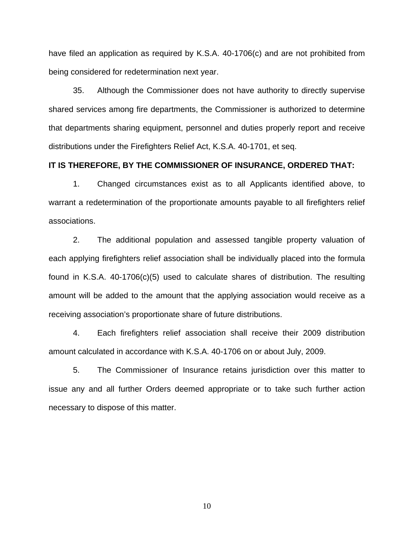have filed an application as required by K.S.A. 40-1706(c) and are not prohibited from being considered for redetermination next year.

35. Although the Commissioner does not have authority to directly supervise shared services among fire departments, the Commissioner is authorized to determine that departments sharing equipment, personnel and duties properly report and receive distributions under the Firefighters Relief Act, K.S.A. 40-1701, et seq.

## **IT IS THEREFORE, BY THE COMMISSIONER OF INSURANCE, ORDERED THAT:**

1. Changed circumstances exist as to all Applicants identified above, to warrant a redetermination of the proportionate amounts payable to all firefighters relief associations.

 2. The additional population and assessed tangible property valuation of each applying firefighters relief association shall be individually placed into the formula found in K.S.A. 40-1706(c)(5) used to calculate shares of distribution. The resulting amount will be added to the amount that the applying association would receive as a receiving association's proportionate share of future distributions.

4. Each firefighters relief association shall receive their 2009 distribution amount calculated in accordance with K.S.A. 40-1706 on or about July, 2009.

5. The Commissioner of Insurance retains jurisdiction over this matter to issue any and all further Orders deemed appropriate or to take such further action necessary to dispose of this matter.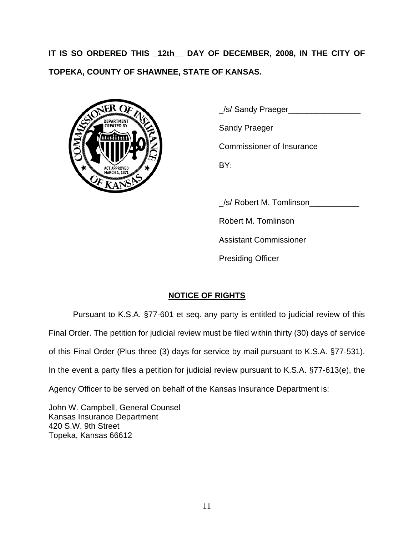**IT IS SO ORDERED THIS \_12th\_\_ DAY OF DECEMBER, 2008, IN THE CITY OF TOPEKA, COUNTY OF SHAWNEE, STATE OF KANSAS.** 



 \_/s/ Sandy Praeger\_\_\_\_\_\_\_\_\_\_\_\_\_\_\_\_ Commissioner of Insurance

\_/s/ Robert M. Tomlinson\_\_\_\_\_\_\_\_\_\_\_

Robert M. Tomlinson

Assistant Commissioner

Presiding Officer

# **NOTICE OF RIGHTS**

Pursuant to K.S.A. §77-601 et seq. any party is entitled to judicial review of this Final Order. The petition for judicial review must be filed within thirty (30) days of service of this Final Order (Plus three (3) days for service by mail pursuant to K.S.A. §77-531). In the event a party files a petition for judicial review pursuant to K.S.A. §77-613(e), the Agency Officer to be served on behalf of the Kansas Insurance Department is:

John W. Campbell, General Counsel Kansas Insurance Department 420 S.W. 9th Street Topeka, Kansas 66612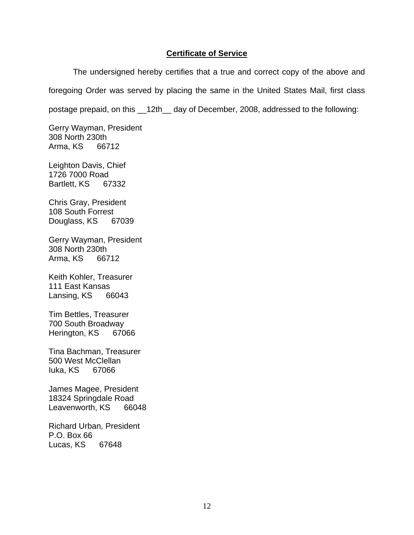## **Certificate of Service**

The undersigned hereby certifies that a true and correct copy of the above and foregoing Order was served by placing the same in the United States Mail, first class postage prepaid, on this \_\_12th\_\_ day of December, 2008, addressed to the following:

Gerry Wayman, President 308 North 230th Arma, KS 66712

Leighton Davis, Chief 1726 7000 Road Bartlett, KS 67332

Chris Gray, President 108 South Forrest Douglass, KS 67039

Gerry Wayman, President 308 North 230th Arma, KS 66712

Keith Kohler, Treasurer 111 East Kansas Lansing, KS 66043

Tim Bettles, Treasurer 700 South Broadway Herington, KS 67066

Tina Bachman, Treasurer 500 West McClellan Iuka, KS 67066

James Magee, President 18324 Springdale Road Leavenworth, KS 66048

Richard Urban, President P.O. Box 66 Lucas, KS 67648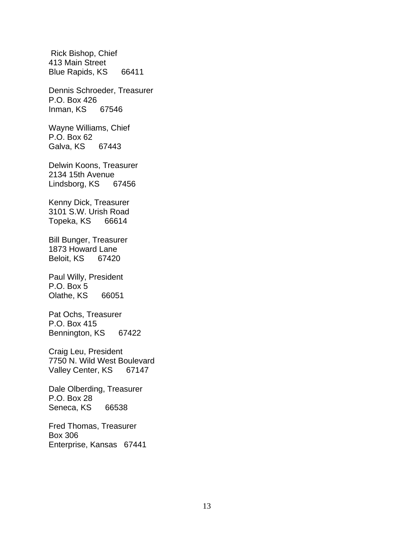Rick Bishop, Chief 413 Main Street Blue Rapids, KS 66411 Dennis Schroeder, Treasurer P.O. Box 426 Inman, KS 67546 Wayne Williams, Chief P.O. Box 62 Galva, KS 67443 Delwin Koons, Treasurer 2134 15th Avenue Lindsborg, KS 67456 Kenny Dick, Treasurer 3101 S.W. Urish Road Topeka, KS 66614 Bill Bunger, Treasurer 1873 Howard Lane Beloit, KS 67420 Paul Willy, President P.O. Box 5 Olathe, KS 66051 Pat Ochs, Treasurer P.O. Box 415 Bennington, KS 67422 Craig Leu, President 7750 N. Wild West Boulevard Valley Center, KS 67147 Dale Olberding, Treasurer P.O. Box 28 Seneca, KS 66538 Fred Thomas, Treasurer Box 306 Enterprise, Kansas 67441